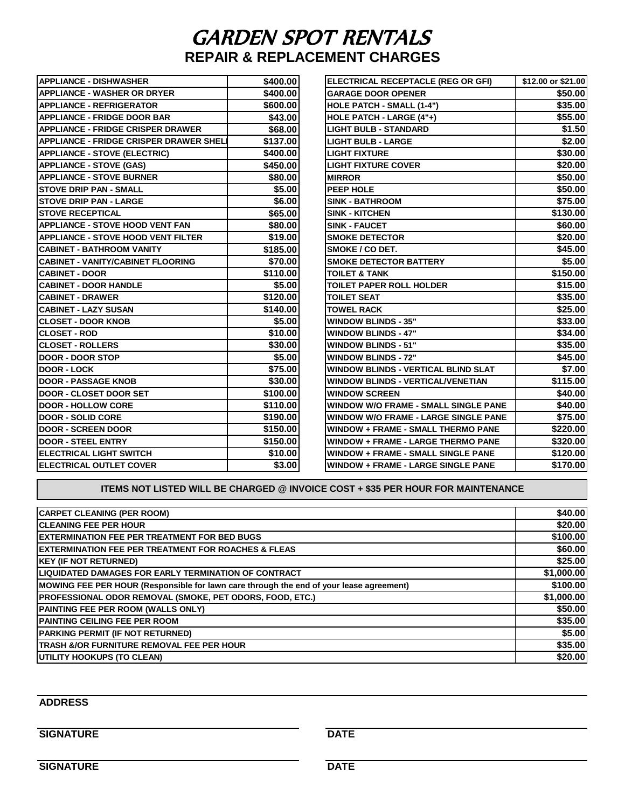## GARDEN SPOT RENTALS **REPAIR & REPLACEMENT CHARGES**

| <b>APPLIANCE - DISHWASHER</b>                 | \$400.00 | ELECTRICAL RECEPTACLE (REG OR GFI)          | \$12.00 or \$21.00 |
|-----------------------------------------------|----------|---------------------------------------------|--------------------|
| <b>APPLIANCE - WASHER OR DRYER</b>            | \$400.00 | <b>GARAGE DOOR OPENER</b>                   | \$50.00            |
| <b>APPLIANCE - REFRIGERATOR</b>               | \$600.00 | HOLE PATCH - SMALL (1-4")                   | \$35.00            |
| <b>APPLIANCE - FRIDGE DOOR BAR</b>            | \$43.00  | HOLE PATCH - LARGE (4"+)                    | \$55.00            |
| <b>APPLIANCE - FRIDGE CRISPER DRAWER</b>      | \$68.00  | <b>LIGHT BULB - STANDARD</b>                | \$1.50             |
| <b>APPLIANCE - FRIDGE CRISPER DRAWER SHEL</b> | \$137.00 | <b>LIGHT BULB - LARGE</b>                   | \$2.00             |
| <b>APPLIANCE - STOVE (ELECTRIC)</b>           | \$400.00 | <b>LIGHT FIXTURE</b>                        | \$30.00            |
| <b>APPLIANCE - STOVE (GAS)</b>                | \$450.00 | <b>LIGHT FIXTURE COVER</b>                  | \$20.00            |
| <b>APPLIANCE - STOVE BURNER</b>               | \$80.00  | <b>MIRROR</b>                               | \$50.00            |
| <b>STOVE DRIP PAN - SMALL</b>                 | \$5.00   | PEEP HOLE                                   | \$50.00            |
| <b>STOVE DRIP PAN - LARGE</b>                 | \$6.00   | <b>SINK - BATHROOM</b>                      | \$75.00            |
| <b>STOVE RECEPTICAL</b>                       | \$65.00  | <b>SINK - KITCHEN</b>                       | \$130.00           |
| <b>APPLIANCE - STOVE HOOD VENT FAN</b>        | \$80.00  | <b>SINK - FAUCET</b>                        | \$60.00            |
| <b>APPLIANCE - STOVE HOOD VENT FILTER</b>     | \$19.00  | <b>SMOKE DETECTOR</b>                       | \$20.00            |
| <b>CABINET - BATHROOM VANITY</b>              | \$185.00 | <b>SMOKE / CO DET.</b>                      | \$45.00            |
| <b>CABINET - VANITY/CABINET FLOORING</b>      | \$70.00  | <b>SMOKE DETECTOR BATTERY</b>               | \$5.00             |
| <b>CABINET - DOOR</b>                         | \$110.00 | <b>TOILET &amp; TANK</b>                    | \$150.00           |
| <b>CABINET - DOOR HANDLE</b>                  | \$5.00   | <b>TOILET PAPER ROLL HOLDER</b>             | \$15.00            |
| <b>CABINET - DRAWER</b>                       | \$120.00 | <b>TOILET SEAT</b>                          | \$35.00            |
| <b>CABINET - LAZY SUSAN</b>                   | \$140.00 | <b>TOWEL RACK</b>                           | \$25.00            |
| <b>CLOSET - DOOR KNOB</b>                     | \$5.00   | <b>WINDOW BLINDS - 35"</b>                  | \$33.00            |
| <b>CLOSET - ROD</b>                           | \$10.00  | <b>WINDOW BLINDS - 47"</b>                  | \$34.00            |
| <b>CLOSET - ROLLERS</b>                       | \$30.00  | <b>WINDOW BLINDS - 51"</b>                  | \$35.00            |
| <b>DOOR - DOOR STOP</b>                       | \$5.00   | <b>WINDOW BLINDS - 72"</b>                  | \$45.00            |
| <b>DOOR - LOCK</b>                            | \$75.00  | <b>WINDOW BLINDS - VERTICAL BLIND SLAT</b>  | \$7.00             |
| <b>DOOR - PASSAGE KNOB</b>                    | \$30.00  | <b>WINDOW BLINDS - VERTICAL/VENETIAN</b>    | \$115.00           |
| <b>DOOR - CLOSET DOOR SET</b>                 | \$100.00 | <b>WINDOW SCREEN</b>                        | \$40.00            |
| <b>DOOR - HOLLOW CORE</b>                     | \$110.00 | <b>WINDOW W/O FRAME - SMALL SINGLE PANE</b> | \$40.00            |
| <b>DOOR - SOLID CORE</b>                      | \$190.00 | <b>WINDOW W/O FRAME - LARGE SINGLE PANE</b> | \$75.00            |
| <b>DOOR - SCREEN DOOR</b>                     | \$150.00 | <b>WINDOW + FRAME - SMALL THERMO PANE</b>   | \$220.00           |
| <b>DOOR - STEEL ENTRY</b>                     | \$150.00 | <b>WINDOW + FRAME - LARGE THERMO PANE</b>   | \$320.00           |
| <b>ELECTRICAL LIGHT SWITCH</b>                | \$10.00  | <b>WINDOW + FRAME - SMALL SINGLE PANE</b>   | \$120.00           |
| <b>IELECTRICAL OUTLET COVER</b>               | \$3.00   | <b>WINDOW + FRAME - LARGE SINGLE PANE</b>   | \$170.00           |

## **ITEMS NOT LISTED WILL BE CHARGED @ INVOICE COST + \$35 PER HOUR FOR MAINTENANCE**

| <b>CARPET CLEANING (PER ROOM)</b>                                                       | \$40.00    |
|-----------------------------------------------------------------------------------------|------------|
| <b>ICLEANING FEE PER HOUR</b>                                                           | \$20.00    |
| <b>IEXTERMINATION FEE PER TREATMENT FOR BED BUGS</b>                                    | \$100.00   |
| <b>IEXTERMINATION FEE PER TREATMENT FOR ROACHES &amp; FLEAS</b>                         | \$60.00    |
| <b>KEY (IF NOT RETURNED)</b>                                                            | \$25.00    |
| ILIQUIDATED DAMAGES FOR EARLY TERMINATION OF CONTRACT                                   | \$1,000.00 |
| MOWING FEE PER HOUR (Responsible for lawn care through the end of your lease agreement) | \$100.00   |
| PROFESSIONAL ODOR REMOVAL (SMOKE, PET ODORS, FOOD, ETC.)                                | \$1,000.00 |
| PAINTING FEE PER ROOM (WALLS ONLY)                                                      | \$50.00    |
| <b>PAINTING CEILING FEE PER ROOM</b>                                                    | \$35.00    |
| <b>PARKING PERMIT (IF NOT RETURNED)</b>                                                 | \$5.00     |
| TRASH &/OR FURNITURE REMOVAL FEE PER HOUR                                               | \$35.00    |
| <b>UTILITY HOOKUPS (TO CLEAN)</b>                                                       | \$20.00    |

## **ADDRESS**

## **SIGNATURE** DATE